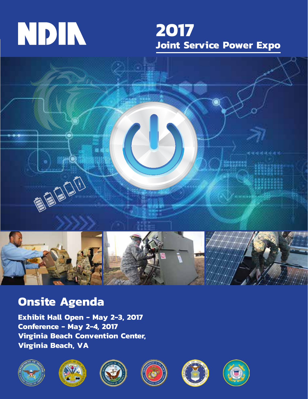# NDIN

## **2017 Joint Service Power Expo**



## **Onsite Agenda**

**Exhibit Hall Open - May 2-3, 2017 Conference - May 2-4, 2017 Virginia Beach Convention Center, Virginia Beach, VA**











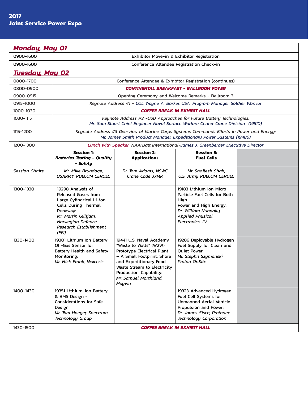$\overline{r}$ 

| 0900-1600<br>Exhibitor Move-in & Exhibitor Registration<br>0900-1600<br>Conference Attendee Registration Check-in<br><u>Tuesday, May 02</u><br>0800-1700<br>Conference Attendee & Exhibitor Registration (continues)<br><b>CONTINENTAL BREAKFAST - BALLROOM FOYER</b><br>0800-0900<br>0900-0915<br>Opening Ceremony and Welcome Remarks - Ballroom 3<br>0915-1000<br>Keynote Address #1 - COL Wayne A. Barker, USA, Program Manager Soldier Warrior<br><b>COFFEE BREAK IN EXHIBIT HALL</b><br>1000-1030<br>1030-1115<br>Keynote Address #2 -DoD Approaches for Future Battery Technologies:<br>Mr. Sam Stuart Chief Engineer Naval Surface Warfare Center Crane Division (19510)<br>1115-1200<br>Keynote Address #3 Overview of Marine Corps Systems Commands Efforts in Power and Energy:<br>Mr. James Smith Product Manager, Expeditionary Power Systems (19486)<br>1200-1300<br>Lunch with Speaker: NAATBatt International-James J. Greenberger, Executive Director<br><b>Session 1:</b><br><b>Session 2:</b><br><b>Session 3:</b><br><b>Batteries Testing - Quality</b><br><b>Fuel Cells</b><br><b>Applications</b><br>- Safety<br><b>Session Chairs</b><br>Mr. Mike Brundage,<br>Dr. Tom Adams, NSWC<br>Mr. Shailesh Shah,<br><b>USARMY RDECOM CERDEC</b><br>Crane Code JXMR<br>U.S. Army RDECOM CERDEC<br>1300-1330<br>19298 Analysis of<br>19183 Lithium Ion Micro<br>Released Gases from<br>Particle Fuel Cells for Both<br>Large Cylindrical Li-ion<br>High<br><b>Cells During Thermal</b><br>Power and High Energy:<br>Dr. William Nunnally,<br>Runaway:<br>Mr. Martin Gillijam,<br><b>Applied Physical</b><br>Norwegian Defence<br>Electronics, LV<br><b>Research Establishment</b><br>(FFI)<br>1330-1400<br>19301 Lithium Ion Battery<br>19441 U.S. Naval Academy<br>19286 Deployable Hydrogen<br>Off-Gas Sensor for<br>Fuel Supply for Clean and<br>"Waste to Watts" (W2W)<br>Quiet Power:<br>Battery Health and Safety<br>Prototype Electrical Plant<br>Monitoring:<br>- A Small Footprint, Shore<br>Mr. Stephn Szymanski,<br>and Expeditionary Food<br><b>Proton OnSite</b><br>Mr. Nick Frank, Nexceris<br>Waste Stream to Electricity<br>Production: Capability:<br>Mr. Samuel Morthland,<br>Mayvin<br>1400-1430<br>19351 Lithium-ion Battery<br>19323 Advanced Hydrogen<br>& BMS Design -<br>Fuel Cell Systems for<br><b>Considerations for Safe</b><br><b>Unmanned Aerial Vehicle</b><br>Propulsion and Power:<br>Design:<br>Dr. James Sisco, Protonex<br>Mr. Tom Hoeger, Spectrum<br>Technology Group<br><b>Technology Corporation</b><br><b>COFFEE BREAK IN EXHIBIT HALL</b><br>1430-1500 | <b>Monday, May 01</b> |  |  |  |  |  |
|---------------------------------------------------------------------------------------------------------------------------------------------------------------------------------------------------------------------------------------------------------------------------------------------------------------------------------------------------------------------------------------------------------------------------------------------------------------------------------------------------------------------------------------------------------------------------------------------------------------------------------------------------------------------------------------------------------------------------------------------------------------------------------------------------------------------------------------------------------------------------------------------------------------------------------------------------------------------------------------------------------------------------------------------------------------------------------------------------------------------------------------------------------------------------------------------------------------------------------------------------------------------------------------------------------------------------------------------------------------------------------------------------------------------------------------------------------------------------------------------------------------------------------------------------------------------------------------------------------------------------------------------------------------------------------------------------------------------------------------------------------------------------------------------------------------------------------------------------------------------------------------------------------------------------------------------------------------------------------------------------------------------------------------------------------------------------------------------------------------------------------------------------------------------------------------------------------------------------------------------------------------------------------------------------------------------------------------------------------------------------------------------------------------------------------------------------------------------------------------------------------------------------------------------------------------------------------------------------------------|-----------------------|--|--|--|--|--|
|                                                                                                                                                                                                                                                                                                                                                                                                                                                                                                                                                                                                                                                                                                                                                                                                                                                                                                                                                                                                                                                                                                                                                                                                                                                                                                                                                                                                                                                                                                                                                                                                                                                                                                                                                                                                                                                                                                                                                                                                                                                                                                                                                                                                                                                                                                                                                                                                                                                                                                                                                                                                               |                       |  |  |  |  |  |
|                                                                                                                                                                                                                                                                                                                                                                                                                                                                                                                                                                                                                                                                                                                                                                                                                                                                                                                                                                                                                                                                                                                                                                                                                                                                                                                                                                                                                                                                                                                                                                                                                                                                                                                                                                                                                                                                                                                                                                                                                                                                                                                                                                                                                                                                                                                                                                                                                                                                                                                                                                                                               |                       |  |  |  |  |  |
|                                                                                                                                                                                                                                                                                                                                                                                                                                                                                                                                                                                                                                                                                                                                                                                                                                                                                                                                                                                                                                                                                                                                                                                                                                                                                                                                                                                                                                                                                                                                                                                                                                                                                                                                                                                                                                                                                                                                                                                                                                                                                                                                                                                                                                                                                                                                                                                                                                                                                                                                                                                                               |                       |  |  |  |  |  |
|                                                                                                                                                                                                                                                                                                                                                                                                                                                                                                                                                                                                                                                                                                                                                                                                                                                                                                                                                                                                                                                                                                                                                                                                                                                                                                                                                                                                                                                                                                                                                                                                                                                                                                                                                                                                                                                                                                                                                                                                                                                                                                                                                                                                                                                                                                                                                                                                                                                                                                                                                                                                               |                       |  |  |  |  |  |
|                                                                                                                                                                                                                                                                                                                                                                                                                                                                                                                                                                                                                                                                                                                                                                                                                                                                                                                                                                                                                                                                                                                                                                                                                                                                                                                                                                                                                                                                                                                                                                                                                                                                                                                                                                                                                                                                                                                                                                                                                                                                                                                                                                                                                                                                                                                                                                                                                                                                                                                                                                                                               |                       |  |  |  |  |  |
|                                                                                                                                                                                                                                                                                                                                                                                                                                                                                                                                                                                                                                                                                                                                                                                                                                                                                                                                                                                                                                                                                                                                                                                                                                                                                                                                                                                                                                                                                                                                                                                                                                                                                                                                                                                                                                                                                                                                                                                                                                                                                                                                                                                                                                                                                                                                                                                                                                                                                                                                                                                                               |                       |  |  |  |  |  |
|                                                                                                                                                                                                                                                                                                                                                                                                                                                                                                                                                                                                                                                                                                                                                                                                                                                                                                                                                                                                                                                                                                                                                                                                                                                                                                                                                                                                                                                                                                                                                                                                                                                                                                                                                                                                                                                                                                                                                                                                                                                                                                                                                                                                                                                                                                                                                                                                                                                                                                                                                                                                               |                       |  |  |  |  |  |
|                                                                                                                                                                                                                                                                                                                                                                                                                                                                                                                                                                                                                                                                                                                                                                                                                                                                                                                                                                                                                                                                                                                                                                                                                                                                                                                                                                                                                                                                                                                                                                                                                                                                                                                                                                                                                                                                                                                                                                                                                                                                                                                                                                                                                                                                                                                                                                                                                                                                                                                                                                                                               |                       |  |  |  |  |  |
|                                                                                                                                                                                                                                                                                                                                                                                                                                                                                                                                                                                                                                                                                                                                                                                                                                                                                                                                                                                                                                                                                                                                                                                                                                                                                                                                                                                                                                                                                                                                                                                                                                                                                                                                                                                                                                                                                                                                                                                                                                                                                                                                                                                                                                                                                                                                                                                                                                                                                                                                                                                                               |                       |  |  |  |  |  |
|                                                                                                                                                                                                                                                                                                                                                                                                                                                                                                                                                                                                                                                                                                                                                                                                                                                                                                                                                                                                                                                                                                                                                                                                                                                                                                                                                                                                                                                                                                                                                                                                                                                                                                                                                                                                                                                                                                                                                                                                                                                                                                                                                                                                                                                                                                                                                                                                                                                                                                                                                                                                               |                       |  |  |  |  |  |
|                                                                                                                                                                                                                                                                                                                                                                                                                                                                                                                                                                                                                                                                                                                                                                                                                                                                                                                                                                                                                                                                                                                                                                                                                                                                                                                                                                                                                                                                                                                                                                                                                                                                                                                                                                                                                                                                                                                                                                                                                                                                                                                                                                                                                                                                                                                                                                                                                                                                                                                                                                                                               |                       |  |  |  |  |  |
|                                                                                                                                                                                                                                                                                                                                                                                                                                                                                                                                                                                                                                                                                                                                                                                                                                                                                                                                                                                                                                                                                                                                                                                                                                                                                                                                                                                                                                                                                                                                                                                                                                                                                                                                                                                                                                                                                                                                                                                                                                                                                                                                                                                                                                                                                                                                                                                                                                                                                                                                                                                                               |                       |  |  |  |  |  |
|                                                                                                                                                                                                                                                                                                                                                                                                                                                                                                                                                                                                                                                                                                                                                                                                                                                                                                                                                                                                                                                                                                                                                                                                                                                                                                                                                                                                                                                                                                                                                                                                                                                                                                                                                                                                                                                                                                                                                                                                                                                                                                                                                                                                                                                                                                                                                                                                                                                                                                                                                                                                               |                       |  |  |  |  |  |
|                                                                                                                                                                                                                                                                                                                                                                                                                                                                                                                                                                                                                                                                                                                                                                                                                                                                                                                                                                                                                                                                                                                                                                                                                                                                                                                                                                                                                                                                                                                                                                                                                                                                                                                                                                                                                                                                                                                                                                                                                                                                                                                                                                                                                                                                                                                                                                                                                                                                                                                                                                                                               |                       |  |  |  |  |  |
|                                                                                                                                                                                                                                                                                                                                                                                                                                                                                                                                                                                                                                                                                                                                                                                                                                                                                                                                                                                                                                                                                                                                                                                                                                                                                                                                                                                                                                                                                                                                                                                                                                                                                                                                                                                                                                                                                                                                                                                                                                                                                                                                                                                                                                                                                                                                                                                                                                                                                                                                                                                                               |                       |  |  |  |  |  |
|                                                                                                                                                                                                                                                                                                                                                                                                                                                                                                                                                                                                                                                                                                                                                                                                                                                                                                                                                                                                                                                                                                                                                                                                                                                                                                                                                                                                                                                                                                                                                                                                                                                                                                                                                                                                                                                                                                                                                                                                                                                                                                                                                                                                                                                                                                                                                                                                                                                                                                                                                                                                               |                       |  |  |  |  |  |
|                                                                                                                                                                                                                                                                                                                                                                                                                                                                                                                                                                                                                                                                                                                                                                                                                                                                                                                                                                                                                                                                                                                                                                                                                                                                                                                                                                                                                                                                                                                                                                                                                                                                                                                                                                                                                                                                                                                                                                                                                                                                                                                                                                                                                                                                                                                                                                                                                                                                                                                                                                                                               |                       |  |  |  |  |  |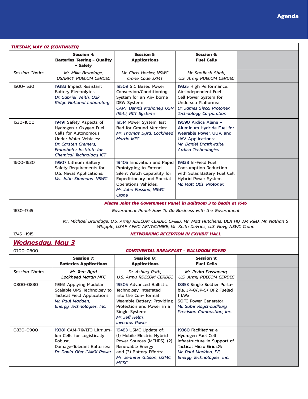| <b>TUESDAY, MAY 02 (CONTINUED)</b> |                                                                                                                                                                                                                                          |                                                                                                                                                                                                   |                                                                                                                                                                      |  |  |
|------------------------------------|------------------------------------------------------------------------------------------------------------------------------------------------------------------------------------------------------------------------------------------|---------------------------------------------------------------------------------------------------------------------------------------------------------------------------------------------------|----------------------------------------------------------------------------------------------------------------------------------------------------------------------|--|--|
|                                    | <b>Session 4:</b><br><b>Batteries Testing - Quality</b><br>- Safety                                                                                                                                                                      | <b>Session 5:</b><br><b>Applications</b>                                                                                                                                                          | <b>Session 6:</b><br><b>Fuel Cells</b>                                                                                                                               |  |  |
| <b>Session Chairs</b>              | Mr. Mike Brundage,<br><b>USARMY RDECOM CERDEC</b>                                                                                                                                                                                        | Mr. Chris Hacker, NSWC<br>Crane Code JXMT                                                                                                                                                         | Mr. Shailesh Shah,<br><b>U.S. Army RDECOM CERDEC</b>                                                                                                                 |  |  |
| 1500-1530                          | 19383 Impact Resistant<br><b>Battery Electrolytes:</b><br>Dr. Gabriel Veith, Oak<br><b>Ridge National Laboratory</b>                                                                                                                     | 19509 SiC Based Power<br>Conversion/Conditioning<br>System for an Air- borne<br>DEW System:<br><b>CAPT Dennis Mahoney, USN</b><br>(Ret.), RCT Systems                                             | 19325 High Performance,<br>Air-Independent Fuel<br>Cell Power System for<br><b>Undersea Platforms:</b><br>Dr. James Sisco, Protonex<br><b>Technology Corporation</b> |  |  |
| 1530-1600                          | 19491 Safety Aspects of<br>Hydrogen / Oxygen Fuel<br><b>Cells for Autonomous</b><br><b>Under Water Vehicles:</b><br>Dr. Carsten Cremers.<br><b>Fraunhofer Institute for</b><br>Chemical Technology ICT                                   | 19514 Power System Test<br>Bed for Ground Vehicles:<br>Mr. Thomas Byrd, Lockheed<br><b>Martin MFC</b>                                                                                             | 19690 Ardica Alane -<br>Aluminum Hydride Fuel for<br>Wearable Power, UUV, and<br><b>UAV Applications:</b><br>Mr. Daniel Braithwaite.<br><b>Ardica Technologies</b>   |  |  |
| 1600-1630                          | 19507 Lithium Battery<br>Safety Requirements for<br><b>U.S. Naval Applications:</b><br>Ms. Julie Simmons, NSWC                                                                                                                           | 19405 Innovation and Rapid<br>Prototyping to Extend<br>Silent Watch Capability for<br><b>Expeditionary and Special</b><br><b>Operations Vehicles:</b><br>Mr. John Fassino, NSWC<br>Crane          | 19338 In-Field Fuel<br><b>Consumption Reduction</b><br>with Solar, Battery, Fuel Cell<br>Hybrid Power System:<br>Mr. Matt Otis, Protonex                             |  |  |
|                                    |                                                                                                                                                                                                                                          | Please Joint the Government Panel in Ballroom 3 to begin at 1645                                                                                                                                  |                                                                                                                                                                      |  |  |
| 1630-1745                          | Government Panel: How To Do Business with the Government<br>Mr. Michael Brundage, U.S. Army RDECOM CERDEC CP&ID Mr. Matt Hutchens, DLA HQ J34 R&D Mr. Nathan S<br>Whipple, USAF AFMC AFNWC/NIBE; Mr. Keith DeVries, U.S. Navy NSWC Crane |                                                                                                                                                                                                   |                                                                                                                                                                      |  |  |
| 1745 - 1915                        | <b>NETWORKING RECEPTION IN EXHIBIT HALL</b>                                                                                                                                                                                              |                                                                                                                                                                                                   |                                                                                                                                                                      |  |  |
| <u>Wednesday, May 3</u>            |                                                                                                                                                                                                                                          |                                                                                                                                                                                                   |                                                                                                                                                                      |  |  |
| 0700-0800                          |                                                                                                                                                                                                                                          |                                                                                                                                                                                                   | <b>CONTINENTAL BREAKFAST - BALLROOM FOYER</b>                                                                                                                        |  |  |
|                                    | <b>Session 7:</b><br><b>Batteries Applications</b>                                                                                                                                                                                       | <b>Session 8:</b><br><b>Applications</b>                                                                                                                                                          | <b>Session 9:</b><br><b>Fuel Cells</b>                                                                                                                               |  |  |
| Session Chairs                     | Mr. Tom Byrd<br><b>Lockheed Martin MFC</b>                                                                                                                                                                                               | Dr. Ashley Ruth,<br><b>U.S. Army RDECOM CERDEC</b>                                                                                                                                                | Mr. Pedro Passapera,<br><b>U.S. Army RDECOM CERDEC</b>                                                                                                               |  |  |
| 0800-0830                          | 19361 Applying Modular<br>Scalable UPS Technology to<br>Tactical Field Applications:<br>Mr. Paul Madden,<br>Energy Technologies, Inc.                                                                                                    | 19505 Advanced Ballistic<br>Technology Integrated<br>into the Con-formal<br>Wearable Battery: Providing<br>Protection and Power in a<br>Single System:<br>Mr. Jeff Helm,<br><b>Inventus Power</b> | 18353 Single Soldier Porta-<br>ble, JP-8/JP-5/ DF2 Fueled<br>1 kWe<br><b>SOFC Power Generator:</b><br>Mr. Subir Roychoudhury,<br>Precision Combustion, Inc.          |  |  |
| 0830-0900                          | 19381 CAM-7®/LTO Lithium-<br>Ion Cells for Logistically<br>Robust,<br>Damage-Tolerant Batteries:<br>Dr. David Ofer, CAMX Power                                                                                                           | 19483 USMC Update of:<br>(1) Mobile Electric Hybrid<br>Power Sources (MEHPS), (2)<br>Renewable Energy<br>and (3) Battery Efforts:<br>Ms. Jennifer Gibson, USMC,<br><b>MCSC</b>                    | 19360 Facilitating a<br>Hydrogen Fuel Cell<br>Infrastructure in Support of<br>Tactical Micro Grids®:<br>Mr. Paul Madden, PE,<br>Energy Technologies, Inc.            |  |  |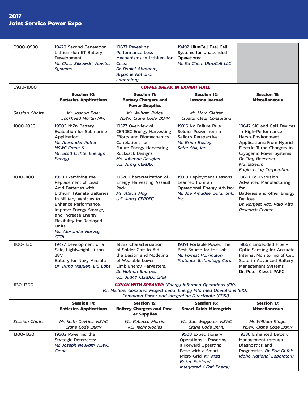#### **2017 Joint Service Power Expo**

| 0900-0930             | 19479 Second Generation<br>Lithium-Ion 6T Battery<br>Development:<br>Mr. Chris Silkowski, Navitas<br><b>Systems</b>                                                                                                                                                                              | 19677 Revealing<br><b>Performance Loss</b><br>Mechanisms in Lithium-ion<br>Cells:<br>Dr. Daniel Abraham,<br><b>Argonne National</b><br>Laboratory                                                                       | 19492 UltraCell Fuel Cell<br>Systems for Unattended<br>Operations:<br>Mr. Ru Chen, UltraCell LLC                                                                       |                                                                                                                                                                                                                                   |
|-----------------------|--------------------------------------------------------------------------------------------------------------------------------------------------------------------------------------------------------------------------------------------------------------------------------------------------|-------------------------------------------------------------------------------------------------------------------------------------------------------------------------------------------------------------------------|------------------------------------------------------------------------------------------------------------------------------------------------------------------------|-----------------------------------------------------------------------------------------------------------------------------------------------------------------------------------------------------------------------------------|
| 0930-1000             |                                                                                                                                                                                                                                                                                                  |                                                                                                                                                                                                                         | <b>COFFEE BREAK IN EXHIBIT HALL</b>                                                                                                                                    |                                                                                                                                                                                                                                   |
|                       | <b>Session 10:</b><br><b>Batteries Applications</b>                                                                                                                                                                                                                                              | <b>Session 11:</b><br><b>Battery Chargers and</b><br><b>Power Supplies</b>                                                                                                                                              | <b>Session 12:</b><br><b>Lessons learned</b>                                                                                                                           | <b>Session 13:</b><br><b>Miscellaneous</b>                                                                                                                                                                                        |
| <b>Session Chairs</b> | Mr. Joshua Baer<br><b>Lockheed Martin MFC</b>                                                                                                                                                                                                                                                    | Mr. William Ridge<br><b>NSWC Crane Code JXMN</b>                                                                                                                                                                        | Mr. Marc Gietter<br><b>Crystal Clear Consulting</b>                                                                                                                    |                                                                                                                                                                                                                                   |
| 1000-1030             | 19503 NiZn Battery<br><b>Evaluation for Submarine</b><br>Application:<br>Mr. Alexander Potter.<br><b>NSWC Crane &amp;</b><br>Mr. Scott Lichte, Enersys<br>Energy                                                                                                                                 | 19377 Overview of<br><b>CERDEC Energy Harvesting</b><br><b>Efforts and Biomechanics</b><br>Correlations for<br><b>Future Energy Harvesting</b><br>Rucksack Designs:<br>Ms. Julienne Douglas,<br><b>U.S. Army CERDEC</b> | 19316 No Failure Rule:<br>Soldier Power from a<br>Sailor's Perspective:<br>Mr. Brian Bosleu.<br>Solar Stik, Inc.                                                       | 19647 SiC and GaN Devices<br>in High-Performance<br>Harsh-Environment<br>Applications: From Hybrid<br>Electric-Turbo Chargers to<br>Cryogenic Power Systems<br>Dr. Troy Beechner,<br>Mainstream<br><b>Engineering Corporation</b> |
| 1030-1100             | 19511 Examining the<br>Replacement of Lead<br><b>Acid Batteries with</b><br><b>Lithium Titanate Batteries</b><br>in Military Vehicles to<br>Enhance Performance,<br>Improve Energy Storage,<br>and Increase Energy<br>Flexibility for Deployed<br>Units:<br>Ms. Alexander Harvey,<br><b>GTRI</b> | 19378 Characterization of<br><b>Energy Harvesting Assault</b><br>Pack:<br>Ms. Alexis Mou.<br><b>U.S. Army CERDEC</b>                                                                                                    | 19319 Deployment Lessons<br>Learned from an<br>Operational Energy Advisor:<br>Mr. Joe Amadee, Solar Stik,<br>Inc.                                                      | 19661 Co-Extrusion:<br><b>Advanced Manufacturing</b><br>for<br>Batteries and other Energy<br>Devices:<br>Dr. Ranjeet Rao, Palo Alto<br><b>Research Center</b>                                                                     |
| 1100-1130             | 19477 Development of a<br>Safe, Lightweight Li-ion<br><b>28V</b><br>Battery for Navy Aircraft:<br>Dr. Trung Nguyen, EIC Labs                                                                                                                                                                     | 19382 Characterization<br>of Solder Gait to Aid<br>the Design and Modeling<br>of Wearable Lower<br>Limb Energy Harvesters:<br>Dr. Nathan Sharpes,<br><b>U.S. ARMY CERDEC CP&amp;I</b>                                   | 19391 Portable Power: The<br>Best Source for the Job:<br>Mr. Forrest Harrington,<br>Protonex Technology Corp.                                                          | 19662 Embedded Fiber-<br><b>Optic Sensing for Accurate</b><br>Internal Monitoring of Cell<br>State in Advanced Battery<br>Management Systems<br>Dr. Peter Kiesel, PARC                                                            |
| 1130-1300             | <b>LUNCH WITH SPEAKER:</b> (Energy Informed Operations (EIO)<br>Mr. Michael Gonzalez, Project Lead, Energy Informed Operations (EIO),<br>Command Power and Integration Directorate (CP&I)                                                                                                        |                                                                                                                                                                                                                         |                                                                                                                                                                        |                                                                                                                                                                                                                                   |
|                       | <b>Session 14:</b><br><b>Batteries Applications</b>                                                                                                                                                                                                                                              | <b>Session 15:</b><br><b>Battery Chargers and Pow-</b><br>er Supplies                                                                                                                                                   | <b>Session 16:</b><br><b>Smart Grids-Microgrids</b>                                                                                                                    | <b>Session 17:</b><br><b>Miscellaneous</b>                                                                                                                                                                                        |
| <b>Session Chairs</b> | Mr. Keith DeVries, NSWC<br>Crane Code JXMN                                                                                                                                                                                                                                                       | Ms. Rebecca Morris.<br><b>ACI Technologies</b>                                                                                                                                                                          | Ms. Sue Waggoner, NSWC<br>Crane Code JXML                                                                                                                              | Mr. William Ridge,<br><b>NSWC Crane Code JXMN</b>                                                                                                                                                                                 |
| 1300-1330             | 19502 Powering the<br>Strategic Deterrents:<br>Mr. Joseph Neukam, NSWC<br>Crane                                                                                                                                                                                                                  |                                                                                                                                                                                                                         | 19508 Expeditionary<br>Operations - Powering<br>a Forward Operating<br>Base with a Smart<br>Micro-Grid: Mr. Matt<br><b>Baker, Fairlead</b><br>Integrated / Earl Energy | 19336 Enhanced Battery<br>Management through<br>Diagnostics and<br>Prognostics: Dr. Eric Dufek,<br><b>Idaho National Laboratory</b>                                                                                               |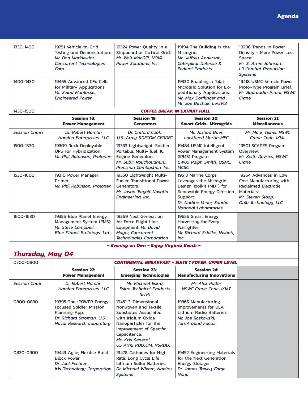| 1330-1400                                      | 19251 Vehicle-to-Grid<br>Testing and Demonstration:<br>Mr. Dan Markiewicz.<br><b>Concurrent Technologies</b><br>Corp. | 19324 Power Quality in a<br>Shipboard or Tactical Grid:<br>Mr. Walt MacGill, NOVA<br>Power Solutions, Inc.                                    | 19194 The Building is the<br>Microgrid:<br>Mr. Jeffrey Anderson,<br>Caterpillar Defense &<br><b>Federal Products</b>                                                           | 19296 Trends in Power<br>Density - More Power Less<br>Space:<br>Mr. S. Arnie Johnson.<br><b>L3 Combat Propulsion</b><br><b>Sustems</b>    |  |
|------------------------------------------------|-----------------------------------------------------------------------------------------------------------------------|-----------------------------------------------------------------------------------------------------------------------------------------------|--------------------------------------------------------------------------------------------------------------------------------------------------------------------------------|-------------------------------------------------------------------------------------------------------------------------------------------|--|
| 1400-1430                                      | 19465 Advanced CFx Cells<br>for Military Applications:<br>Mr. Zeiad Muntasser,<br><b>Engineered Power</b>             |                                                                                                                                               | 19330 Enabling a Total<br>Microgrid Solution for Ex-<br>peditionary Applications:<br>Mr. Max Dorflinger and<br>Mr. Joe Birchak. LexTM3                                         | 19418 USMC Vehicle Power<br>Proto-Type Program Brief:<br>Mr. Badruddin Pirani, NSWC<br>Crane                                              |  |
| 1430-1500                                      |                                                                                                                       |                                                                                                                                               | <b>COFFEE BREAK IN EXHIBIT HALL</b>                                                                                                                                            |                                                                                                                                           |  |
|                                                | <b>Session 18:</b><br><b>Power Management</b>                                                                         | <b>Session 19:</b><br><b>Generators</b>                                                                                                       | <b>Session 20:</b><br><b>Smart Grids- Microgrids</b>                                                                                                                           | <b>Session 21:</b><br><b>Miscellaneous</b>                                                                                                |  |
| <b>Session Chairs</b>                          | Dr. Robert Hamlin<br>Hamlen Enterprises, LLC                                                                          | Dr. Clifford Cook.<br><b>U.S. Army RDECOM CERDEC</b>                                                                                          | Mr. Joshua Baer,<br><b>Lockheed Martin MFC</b>                                                                                                                                 | Mr. Mark Tisher, NSWC<br>Crane Code JXML                                                                                                  |  |
| 1500-1530                                      | 19309 Ruck Deployable<br><b>UPS For Hybridization:</b><br>Mr. Phil Robinson, Protonex                                 | 19333 Lightweight, Soldier<br>Portable, Multi- fuel, IC<br><b>Engine Generators:</b><br>Mr. Subir Roychoudhury,<br>Precision Combustion, Inc. | 19484 USMC Intelligent<br>Power Management System<br>(IPMS) Program:<br>CW05 Ralph Smith, USMC,<br><b>MCSC</b>                                                                 | 19501 SCAPES Program<br>Overview:<br>Mr. Keith DeVries, NSWC<br>Crane                                                                     |  |
| 1530-1600                                      | 19310 Power Manager<br>Primer:<br>Mr. Phil Robinson, Protonex                                                         | 19350 Lightweight Multi-<br><b>Fueled Transitional Power</b><br>Generators:<br>Mr. Jason Targoff, Novatio<br>Engineering, Inc.                | 19513 Marine Corps<br>Leverages the Microgrid<br>Design Toolkit (MDT) for<br>Renewable Energy Decision<br>Support:<br>Dr. Nadine Miner, Sandia<br><b>National Laboratories</b> | 19264 Advances in Low<br>Cost Manufacturing with<br><b>Reclaimed Electrode</b><br>Materials:<br>Mr. Steven Sloop,<br>OnTo Technology, LLC |  |
| 1600-1630                                      | 19356 Blue Planet Energy<br>Management System (EMS):<br>Mr. Steve Campbell,<br><b>Blue Planet Buildings, Ltd.</b>     | 19369 Next Generation<br>Air Force Flight Line<br>Equipment: Mr. David<br><b>Moyer, Concurrent</b><br><b>Technologies Corporation</b>         | 19656 Smart Energy<br>Harvesting for Every<br>Warfighter<br>Mr. Richard Sckilke, Nishati,<br>Inc.                                                                              |                                                                                                                                           |  |
| ~ Evening on Own - Enjoy Virginia Beach $\sim$ |                                                                                                                       |                                                                                                                                               |                                                                                                                                                                                |                                                                                                                                           |  |

### *Thursday, May 04*

| 0700-0800            | <b>CONTINENTAL BREAKFAST - SUITE 1 FOYER, UPPER LEVEL</b>                                                                             |                                                                                                                                                                                                                      |                                                                                                                           |  |
|----------------------|---------------------------------------------------------------------------------------------------------------------------------------|----------------------------------------------------------------------------------------------------------------------------------------------------------------------------------------------------------------------|---------------------------------------------------------------------------------------------------------------------------|--|
|                      | <b>Session 22:</b><br><b>Power Management</b>                                                                                         | <b>Session 23:</b><br><b>Emerging Technologies</b>                                                                                                                                                                   | <b>Session 24:</b><br><b>Manufacturing Innovations</b>                                                                    |  |
| <b>Session Chair</b> | Dr Robert Hamlin<br>Hamlen Enterprises, LLC                                                                                           | Mr. Michael Eskra,<br><b>Eskra Technical Products</b><br>(ETP)                                                                                                                                                       | Mr. Alex Potter,<br><b>NSWC Crane Code JXMT</b>                                                                           |  |
| 0800-0830            | 19395 The iPOWER Energy-<br><b>Focused Soldier Mission</b><br>Planning App:<br>Dr. Richard Stroman, U.S.<br>Naval Research Laboratory | 19451 3-Dimensional<br>Nonwoven and Textile<br>Substrates Associated<br>with Iridium Oxide<br>Nanoparticles for the<br>Improvement of Specific<br>Capacitance:<br>Ms. Kris Senecal,<br><b>US Arny RDECOM, NSRDEC</b> | 19365 Manufacturing<br>Improvements for DLA<br>Lithium Radio Batteries:<br>Mr. Joe Roskowski.<br><b>TurnAround Factor</b> |  |
| 0830-0900            | 19443 Agile, Flexible Build<br><b>Block Power:</b><br>Dr. Joel Fechter,<br>Iris Technology Corporation                                | 19478 Cathodes for High<br>Rate, Long Cycle Life<br>Lithium Sulfur Batteries:<br>Dr. Michael Wixom, Navitas<br><b>Systems</b>                                                                                        | 19452 Engineering Materials<br>for the Next Generation<br>Energy Storage:<br>Dr. James Trevey, Forge<br>Nano              |  |